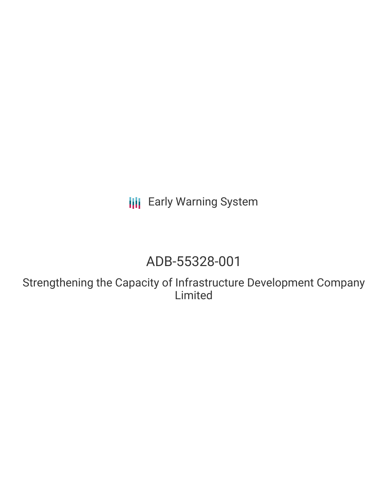**III** Early Warning System

# ADB-55328-001

Strengthening the Capacity of Infrastructure Development Company Limited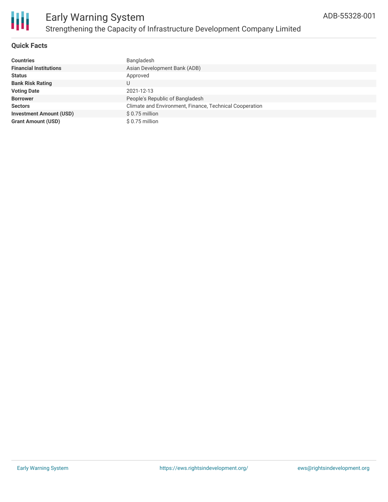

# **Quick Facts**

| <b>Countries</b>               | Bangladesh                                              |
|--------------------------------|---------------------------------------------------------|
| <b>Financial Institutions</b>  | Asian Development Bank (ADB)                            |
| <b>Status</b>                  | Approved                                                |
| <b>Bank Risk Rating</b>        |                                                         |
| <b>Voting Date</b>             | 2021-12-13                                              |
| <b>Borrower</b>                | People's Republic of Bangladesh                         |
| <b>Sectors</b>                 | Climate and Environment, Finance, Technical Cooperation |
| <b>Investment Amount (USD)</b> | $$0.75$ million                                         |
| <b>Grant Amount (USD)</b>      | $$0.75$ million                                         |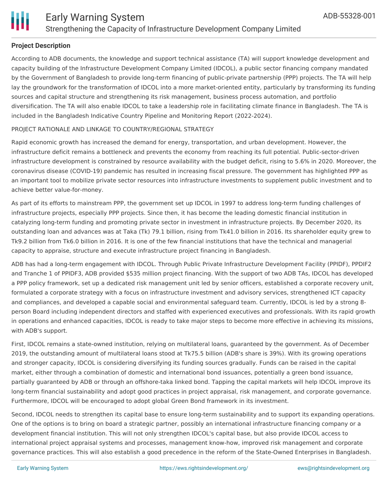

# **Project Description**

According to ADB documents, the knowledge and support technical assistance (TA) will support knowledge development and capacity building of the Infrastructure Development Company Limited (IDCOL), a public sector financing company mandated by the Government of Bangladesh to provide long-term financing of public-private partnership (PPP) projects. The TA will help lay the groundwork for the transformation of IDCOL into a more market-oriented entity, particularly by transforming its funding sources and capital structure and strengthening its risk management, business process automation, and portfolio diversification. The TA will also enable IDCOL to take a leadership role in facilitating climate finance in Bangladesh. The TA is included in the Bangladesh Indicative Country Pipeline and Monitoring Report (2022-2024).

### PROJECT RATIONALE AND LINKAGE TO COUNTRY/REGIONAL STRATEGY

Rapid economic growth has increased the demand for energy, transportation, and urban development. However, the infrastructure deficit remains a bottleneck and prevents the economy from reaching its full potential. Public-sector-driven infrastructure development is constrained by resource availability with the budget deficit, rising to 5.6% in 2020. Moreover, the coronavirus disease (COVID-19) pandemic has resulted in increasing fiscal pressure. The government has highlighted PPP as an important tool to mobilize private sector resources into infrastructure investments to supplement public investment and to achieve better value-for-money.

As part of its efforts to mainstream PPP, the government set up IDCOL in 1997 to address long-term funding challenges of infrastructure projects, especially PPP projects. Since then, it has become the leading domestic financial institution in catalyzing long-term funding and promoting private sector in investment in infrastructure projects. By December 2020, its outstanding loan and advances was at Taka (Tk) 79.1 billion, rising from Tk41.0 billion in 2016. Its shareholder equity grew to Tk9.2 billion from Tk6.0 billion in 2016. It is one of the few financial institutions that have the technical and managerial capacity to appraise, structure and execute infrastructure project financing in Bangladesh.

ADB has had a long-term engagement with IDCOL. Through Public Private Infrastructure Development Facility (PPIDF), PPDIF2 and Tranche 1 of PPIDF3, ADB provided \$535 million project financing. With the support of two ADB TAs, IDCOL has developed a PPP policy framework, set up a dedicated risk management unit led by senior officers, established a corporate recovery unit, formulated a corporate strategy with a focus on infrastructure investment and advisory services, strengthened ICT capacity and compliances, and developed a capable social and environmental safeguard team. Currently, IDCOL is led by a strong 8 person Board including independent directors and staffed with experienced executives and professionals. With its rapid growth in operations and enhanced capacities, IDCOL is ready to take major steps to become more effective in achieving its missions, with ADB's support.

First, IDCOL remains a state-owned institution, relying on multilateral loans, guaranteed by the government. As of December 2019, the outstanding amount of multilateral loans stood at Tk75.5 billion (ADB's share is 39%). With its growing operations and stronger capacity, IDCOL is considering diversifying its funding sources gradually. Funds can be raised in the capital market, either through a combination of domestic and international bond issuances, potentially a green bond issuance, partially guaranteed by ADB or through an offshore-taka linked bond. Tapping the capital markets will help IDCOL improve its long-term financial sustainability and adopt good practices in project appraisal, risk management, and corporate governance. Furthermore, IDCOL will be encouraged to adopt global Green Bond framework in its investment.

Second, IDCOL needs to strengthen its capital base to ensure long-term sustainability and to support its expanding operations. One of the options is to bring on board a strategic partner, possibly an international infrastructure financing company or a development financial institution. This will not only strengthen IDCOL's capital base, but also provide IDCOL access to international project appraisal systems and processes, management know-how, improved risk management and corporate governance practices. This will also establish a good precedence in the reform of the State-Owned Enterprises in Bangladesh.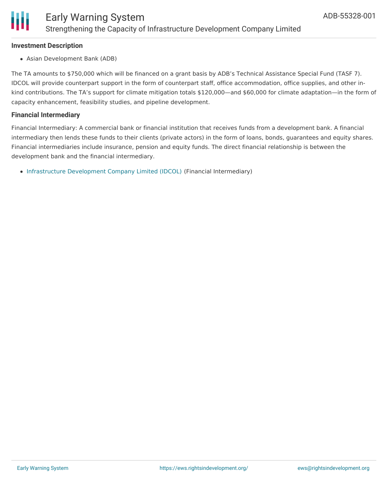

#### **Investment Description**

Asian Development Bank (ADB)

The TA amounts to \$750,000 which will be financed on a grant basis by ADB's Technical Assistance Special Fund (TASF 7). IDCOL will provide counterpart support in the form of counterpart staff, office accommodation, office supplies, and other inkind contributions. The TA's support for climate mitigation totals \$120,000—and \$60,000 for climate adaptation—in the form of capacity enhancement, feasibility studies, and pipeline development.

### **Financial Intermediary**

Financial Intermediary: A commercial bank or financial institution that receives funds from a development bank. A financial intermediary then lends these funds to their clients (private actors) in the form of loans, bonds, guarantees and equity shares. Financial intermediaries include insurance, pension and equity funds. The direct financial relationship is between the development bank and the financial intermediary.

[Infrastructure](file:///actor/2961/) Development Company Limited (IDCOL) (Financial Intermediary)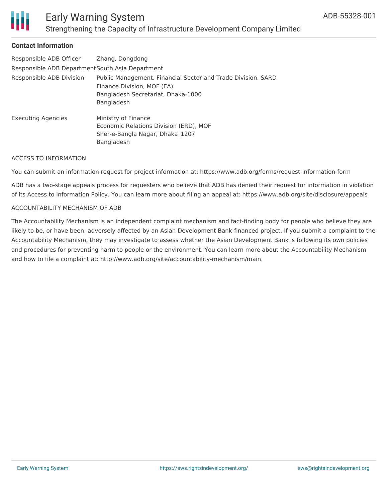

# **Contact Information**

| Responsible ADB Officer                          | Zhang, Dongdong                                                                                                                                |  |
|--------------------------------------------------|------------------------------------------------------------------------------------------------------------------------------------------------|--|
| Responsible ADB Department South Asia Department |                                                                                                                                                |  |
| Responsible ADB Division                         | Public Management, Financial Sector and Trade Division, SARD<br>Finance Division, MOF (EA)<br>Bangladesh Secretariat, Dhaka-1000<br>Bangladesh |  |
| <b>Executing Agencies</b>                        | Ministry of Finance<br>Economic Relations Division (ERD), MOF<br>Sher-e-Bangla Nagar, Dhaka 1207<br>Bangladesh                                 |  |

#### ACCESS TO INFORMATION

You can submit an information request for project information at: https://www.adb.org/forms/request-information-form

ADB has a two-stage appeals process for requesters who believe that ADB has denied their request for information in violation of its Access to Information Policy. You can learn more about filing an appeal at: https://www.adb.org/site/disclosure/appeals

#### ACCOUNTABILITY MECHANISM OF ADB

The Accountability Mechanism is an independent complaint mechanism and fact-finding body for people who believe they are likely to be, or have been, adversely affected by an Asian Development Bank-financed project. If you submit a complaint to the Accountability Mechanism, they may investigate to assess whether the Asian Development Bank is following its own policies and procedures for preventing harm to people or the environment. You can learn more about the Accountability Mechanism and how to file a complaint at: http://www.adb.org/site/accountability-mechanism/main.